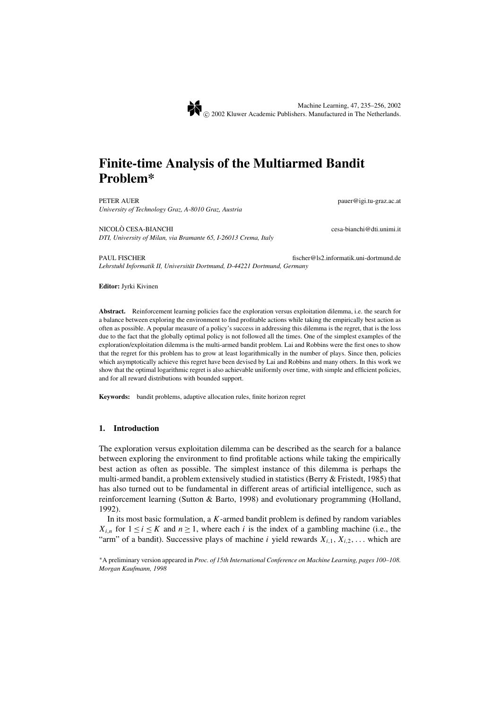# **Finite-time Analysis of the Multiarmed Bandit Problem\***

PETER AUER **pauer@igi.tu-graz.ac.at** *University of Technology Graz, A-8010 Graz, Austria*

NICOLO CESA-BIANCHI cesa-bianchi@dti.unimi.it ` *DTI, University of Milan, via Bramante 65, I-26013 Crema, Italy*

PAUL FISCHER fischer@ls2.informatik.uni-dortmund.de *Lehrstuhl Informatik II, Universitat Dortmund, D-44221 Dortmund, Germany ¨*

**Editor:** Jyrki Kivinen

Abstract. Reinforcement learning policies face the exploration versus exploitation dilemma, i.e. the search for a balance between exploring the environment to find profitable actions while taking the empirically best action as often as possible. A popular measure of a policy's success in addressing this dilemma is the regret, that is the loss due to the fact that the globally optimal policy is not followed all the times. One of the simplest examples of the exploration/exploitation dilemma is the multi-armed bandit problem. Lai and Robbins were the first ones to show that the regret for this problem has to grow at least logarithmically in the number of plays. Since then, policies which asymptotically achieve this regret have been devised by Lai and Robbins and many others. In this work we show that the optimal logarithmic regret is also achievable uniformly over time, with simple and efficient policies, and for all reward distributions with bounded support.

**Keywords:** bandit problems, adaptive allocation rules, finite horizon regret

#### **1. Introduction**

The exploration versus exploitation dilemma can be described as the search for a balance between exploring the environment to find profitable actions while taking the empirically best action as often as possible. The simplest instance of this dilemma is perhaps the multi-armed bandit, a problem extensively studied in statistics (Berry & Fristedt, 1985) that has also turned out to be fundamental in different areas of artificial intelligence, such as reinforcement learning (Sutton & Barto, 1998) and evolutionary programming (Holland, 1992).

In its most basic formulation, a *K*-armed bandit problem is defined by random variables *X<sub>i,n</sub>* for  $1 \le i \le K$  and  $n \ge 1$ , where each *i* is the index of a gambling machine (i.e., the "arm" of a bandit). Successive plays of machine *i* yield rewards  $X_{i,1}, X_{i,2}, \ldots$  which are

<sup>∗</sup>A preliminary version appeared in *Proc. of 15th International Conference on Machine Learning, pages 100–108. Morgan Kaufmann, 1998*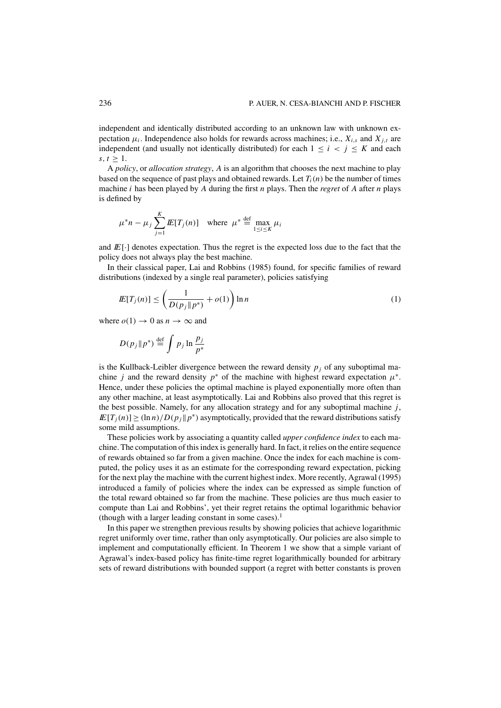independent and identically distributed according to an unknown law with unknown expectation  $\mu_i$ . Independence also holds for rewards across machines; i.e.,  $X_{i,s}$  and  $X_{i,t}$  are independent (and usually not identically distributed) for each  $1 \le i \le j \le K$  and each  $s, t > 1$ .

A *policy*, or *allocation strategy*, *A* is an algorithm that chooses the next machine to play based on the sequence of past plays and obtained rewards. Let  $T_i(n)$  be the number of times machine *i* has been played by *A* during the first *n* plays. Then the *regret* of *A* after *n* plays is defined by

$$
\mu^* n - \mu_j \sum_{j=1}^K \mathbb{E}[T_j(n)] \quad \text{where} \quad \mu^* \stackrel{\text{def}}{=} \max_{1 \le i \le K} \mu_i
$$

and  $E[\cdot]$  denotes expectation. Thus the regret is the expected loss due to the fact that the policy does not always play the best machine.

In their classical paper, Lai and Robbins (1985) found, for specific families of reward distributions (indexed by a single real parameter), policies satisfying

$$
I\!E[T_j(n)] \leq \left(\frac{1}{D(p_j||p^*)} + o(1)\right) \ln n \tag{1}
$$

where  $o(1) \rightarrow 0$  as  $n \rightarrow \infty$  and

$$
D(p_j \| p^*) \stackrel{\text{def}}{=} \int p_j \ln \frac{p_j}{p^*}
$$

is the Kullback-Leibler divergence between the reward density  $p_j$  of any suboptimal machine *j* and the reward density  $p^*$  of the machine with highest reward expectation  $\mu^*$ . Hence, under these policies the optimal machine is played exponentially more often than any other machine, at least asymptotically. Lai and Robbins also proved that this regret is the best possible. Namely, for any allocation strategy and for any suboptimal machine *j*,  $I\!\!E[T_i(n)] \geq (\ln n)/D(p_i||p^*)$  asymptotically, provided that the reward distributions satisfy some mild assumptions.

These policies work by associating a quantity called *upper confidence index* to each machine. The computation of this index is generally hard. In fact, it relies on the entire sequence of rewards obtained so far from a given machine. Once the index for each machine is computed, the policy uses it as an estimate for the corresponding reward expectation, picking for the next play the machine with the current highest index. More recently, Agrawal (1995) introduced a family of policies where the index can be expressed as simple function of the total reward obtained so far from the machine. These policies are thus much easier to compute than Lai and Robbins', yet their regret retains the optimal logarithmic behavior (though with a larger leading constant in some cases).<sup>1</sup>

In this paper we strengthen previous results by showing policies that achieve logarithmic regret uniformly over time, rather than only asymptotically. Our policies are also simple to implement and computationally efficient. In Theorem 1 we show that a simple variant of Agrawal's index-based policy has finite-time regret logarithmically bounded for arbitrary sets of reward distributions with bounded support (a regret with better constants is proven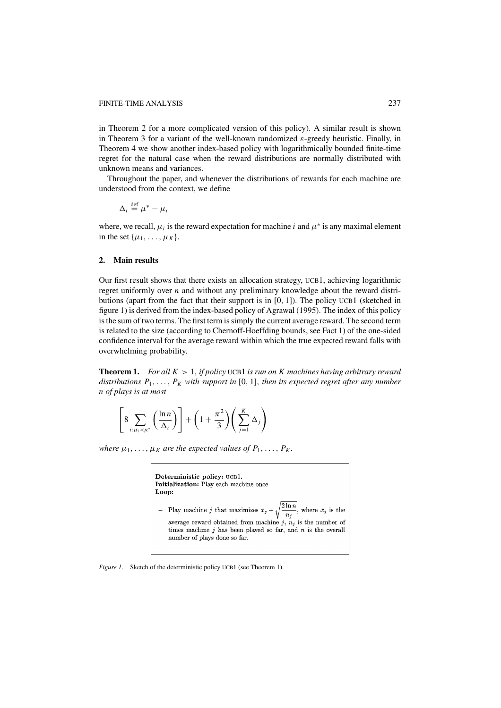in Theorem 2 for a more complicated version of this policy). A similar result is shown in Theorem 3 for a variant of the well-known randomized  $\varepsilon$ -greedy heuristic. Finally, in Theorem 4 we show another index-based policy with logarithmically bounded finite-time regret for the natural case when the reward distributions are normally distributed with unknown means and variances.

Throughout the paper, and whenever the distributions of rewards for each machine are understood from the context, we define

$$
\Delta_i \stackrel{\text{def}}{=} \mu^* - \mu_i
$$

where, we recall,  $\mu_i$  is the reward expectation for machine *i* and  $\mu^*$  is any maximal element in the set  $\{\mu_1, \ldots, \mu_K\}$ .

### **2. Main results**

Our first result shows that there exists an allocation strategy, UCB1, achieving logarithmic regret uniformly over *n* and without any preliminary knowledge about the reward distributions (apart from the fact that their support is in [0, 1]). The policy UCB1 (sketched in figure 1) is derived from the index-based policy of Agrawal (1995). The index of this policy is the sum of two terms. The first term is simply the current average reward. The second term is related to the size (according to Chernoff-Hoeffding bounds, see Fact 1) of the one-sided confidence interval for the average reward within which the true expected reward falls with overwhelming probability.

**Theorem 1.** *For all K* > 1, *if policy* UCB1 *is run on K machines having arbitrary reward distributions*  $P_1, \ldots, P_K$  *with support in* [0, 1], *then its expected regret after any number n of plays is at most*

$$
\left[8\sum_{i:\mu_i<\mu^*}\left(\frac{\ln n}{\Delta_i}\right)\right]+\left(1+\frac{\pi^2}{3}\right)\left(\sum_{j=1}^K\Delta_j\right)
$$

*where*  $\mu_1, \ldots, \mu_K$  *are the expected values of*  $P_1, \ldots, P_K$ *.* 

Deterministic policy: UCB1. Initialization: Play each machine once. Loop: - Play machine  $j$  that maximizes  $\bar{x}_j + \sqrt{\frac{2\ln n}{n_j}}$ , where  $\bar{x}_j$  is the average reward obtained from machine j,  $n_j$  is the number of times machine  $j$  has been played so far, and  $n$  is the overall  $\quad$  number of plays done so far.

*Figure 1.* Sketch of the deterministic policy UCB1 (see Theorem 1).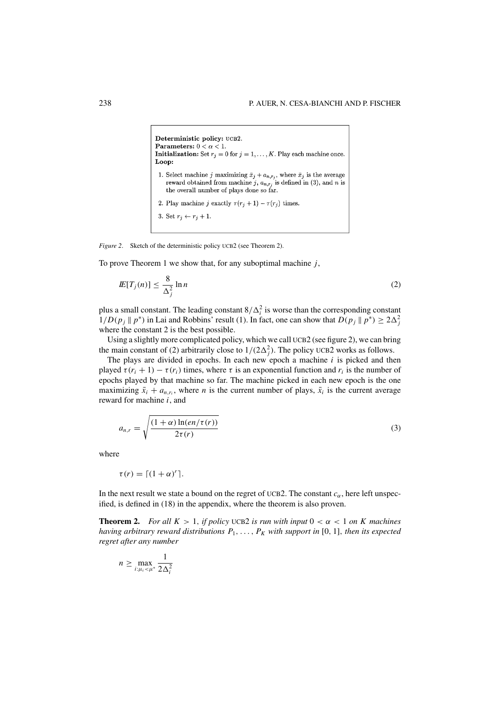```
Deterministic policy: UCB2.
Parameters: 0 < \alpha < 1.
Initialization: Set r_j = 0 for j = 1, ..., K. Play each machine once.
Loop:
 1. Select machine j maximizing \bar{x}_j + a_{n,r_j}, where \bar{x}_j is the average
    reward obtained from machine j_1, a_{n,r_j} is defined in (3), and n is<br>the overall number of plays done so far.
 2. Play machine j exactly \tau(r_j + 1) - \tau(r_j) times.
 3. Set r_j \leftarrow r_j + 1.
```
*Figure 2.* Sketch of the deterministic policy UCB2 (see Theorem 2).

To prove Theorem 1 we show that, for any suboptimal machine *j*,

$$
I\!E[T_j(n)] \le \frac{8}{\Delta_j^2} \ln n \tag{2}
$$

plus a small constant. The leading constant  $8/\Delta_i^2$  is worse than the corresponding constant  $1/D(p_j \parallel p^*)$  in Lai and Robbins' result (1). In fact, one can show that  $D(p_j \parallel p^*) \ge 2\Delta_j^2$ where the constant 2 is the best possible.

Using a slightly more complicated policy, which we call UCB2 (see figure 2), we can bring the main constant of (2) arbitrarily close to  $1/(2\Delta_j^2)$ . The policy UCB2 works as follows.

The plays are divided in epochs. In each new epoch a machine *i* is picked and then played  $\tau(r_i + 1) - \tau(r_i)$  times, where  $\tau$  is an exponential function and  $r_i$  is the number of epochs played by that machine so far. The machine picked in each new epoch is the one maximizing  $\bar{x}_i + a_{n,r_i}$ , where *n* is the current number of plays,  $\bar{x}_i$  is the current average reward for machine *i*, and

$$
a_{n,r} = \sqrt{\frac{(1+\alpha)\ln(en/\tau(r))}{2\tau(r)}}
$$
\n(3)

where

$$
\tau(r) = \lceil (1 + \alpha)^r \rceil.
$$

In the next result we state a bound on the regret of UCB2. The constant  $c_{\alpha}$ , here left unspecified, is defined in (18) in the appendix, where the theorem is also proven.

**Theorem 2.** *For all K* > 1, *if policy* UCB2 *is run with input*  $0 < \alpha < 1$  *on K machines having arbitrary reward distributions*  $P_1, \ldots, P_K$  *with support in* [0, 1], *then its expected regret after any number*

$$
n \ge \max_{i:\mu_i < \mu^*} \frac{1}{2\Delta_i^2}
$$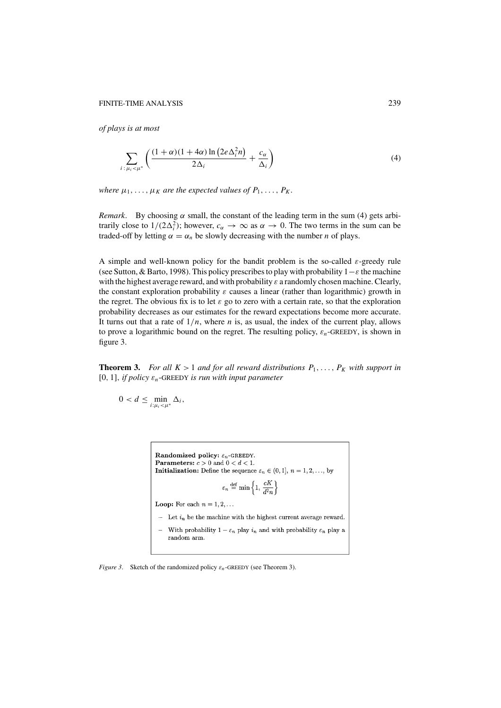#### FINITE-TIME ANALYSIS 239

*of plays is at most*

$$
\sum_{i:\,\mu_i < \mu^*} \left( \frac{(1+\alpha)(1+4\alpha)\ln\left(2e\Delta_i^2 n\right)}{2\Delta_i} + \frac{c_\alpha}{\Delta_i} \right) \tag{4}
$$

*where*  $\mu_1, \ldots, \mu_K$  *are the expected values of*  $P_1, \ldots, P_K$ *.* 

*Remark*. By choosing  $\alpha$  small, the constant of the leading term in the sum (4) gets arbitrarily close to  $1/(2\Delta_i^2)$ ; however,  $c_\alpha \to \infty$  as  $\alpha \to 0$ . The two terms in the sum can be traded-off by letting  $\alpha = \alpha_n$  be slowly decreasing with the number *n* of plays.

A simple and well-known policy for the bandit problem is the so-called  $\varepsilon$ -greedy rule (see Sutton, & Barto, 1998). This policy prescribes to play with probability  $1-\varepsilon$  the machine with the highest average reward, and with probability  $\varepsilon$  a randomly chosen machine. Clearly, the constant exploration probability  $\varepsilon$  causes a linear (rather than logarithmic) growth in the regret. The obvious fix is to let  $\varepsilon$  go to zero with a certain rate, so that the exploration probability decreases as our estimates for the reward expectations become more accurate. It turns out that a rate of  $1/n$ , where *n* is, as usual, the index of the current play, allows to prove a logarithmic bound on the regret. The resulting policy, ε*n*-GREEDY, is shown in figure 3.

**Theorem 3.** For all  $K > 1$  and for all reward distributions  $P_1, \ldots, P_K$  with support in [0, 1], *if policy*  $\varepsilon_n$ -GREEDY *is run with input parameter* 

$$
0 < d \leq \min_{i:\mu_i < \mu^*} \Delta_i,
$$

Randomized policy:  $\varepsilon_n$ -GREEDY. **Parameters:**  $c > 0$  and  $0 < d < 1$ . **Initialization:** Define the sequence  $\varepsilon_n \in (0,1]$ ,  $n = 1,2,...$ , by  $\varepsilon_n \stackrel{\text{def}}{=} \min \left\{ 1, \frac{cK}{d^2n} \right\}$ 

**Loop:** For each  $n = 1, 2, ...$ 

- $-$  Let  $i_n$  be the machine with the highest current average reward.
- With probability  $1 \varepsilon_n$  play  $i_n$  and with probability  $\varepsilon_n$  play a  $\overline{a}$ random arm.

*Figure 3.* Sketch of the randomized policy  $\varepsilon_n$ -GREEDY (see Theorem 3).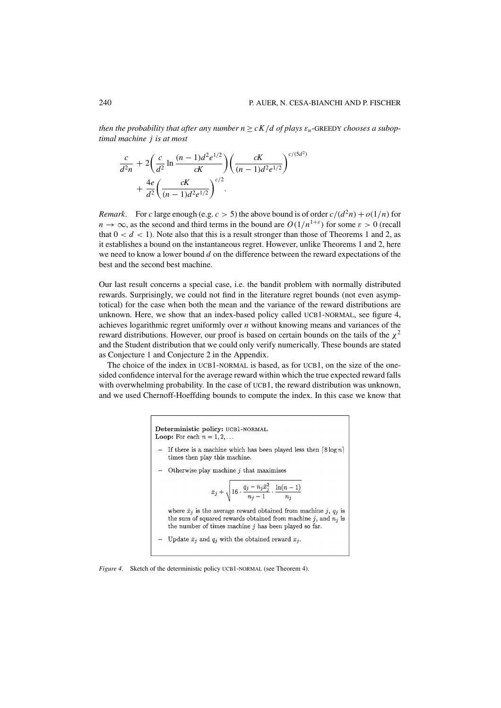*then the probability that after any number*  $n \ge cK/d$  *of plays*  $\varepsilon_n$ -GREEDY *chooses a suboptimal machine j is at most*

$$
\frac{c}{d^2 n} + 2\left(\frac{c}{d^2} \ln \frac{(n-1)d^2 e^{1/2}}{cK}\right) \left(\frac{cK}{(n-1)d^2 e^{1/2}}\right)^{c/(5d^2)}
$$

$$
+ \frac{4e}{d^2} \left(\frac{cK}{(n-1)d^2 e^{1/2}}\right)^{c/2}.
$$

*Remark.* For *c* large enough (e.g.  $c > 5$ ) the above bound is of order  $c/(d^2n) + o(1/n)$  for  $n \to \infty$ , as the second and third terms in the bound are  $O(1/n^{1+\epsilon})$  for some  $\varepsilon > 0$  (recall that  $0 < d < 1$ ). Note also that this is a result stronger than those of Theorems 1 and 2, as it establishes a bound on the instantaneous regret. However, unlike Theorems 1 and 2, here we need to know a lower bound *d* on the difference between the reward expectations of the best and the second best machine.

Our last result concerns a special case, i.e. the bandit problem with normally distributed rewards. Surprisingly, we could not find in the literature regret bounds (not even asymptotical) for the case when both the mean and the variance of the reward distributions are unknown. Here, we show that an index-based policy called UCB1-NORMAL, see figure 4, achieves logarithmic regret uniformly over *n* without knowing means and variances of the reward distributions. However, our proof is based on certain bounds on the tails of the  $\chi^2$ and the Student distribution that we could only verify numerically. These bounds are stated as Conjecture 1 and Conjecture 2 in the Appendix.

The choice of the index in UCB1-NORMAL is based, as for UCB1, on the size of the onesided confidence interval for the average reward within which the true expected reward falls with overwhelming probability. In the case of UCB1, the reward distribution was unknown, and we used Chernoff-Hoeffding bounds to compute the index. In this case we know that

> Deterministic policy: UCB1-NORMAL. Loop: For each  $n = 1, 2, \ldots$

- If there is a machine which has been played less then  $\lceil 8 \log n \rceil$ times then play this machine.
- Otherwise play machine  $j$  that maximizes

$$
\bar{x}_j + \sqrt{16 \cdot \frac{q_j - n_j \bar{x}_j^2}{n_j - 1} \cdot \frac{\ln(n-1)}{n_j}}
$$

where  $\bar{x}_j$  is the average reward obtained from machine j,  $q_j$  is the sum of squared rewards obtained from machine j, and  $n_j$  is the number of times machine  $j$  has been played so far.

- Update  $\bar{x}_j$  and  $q_j$  with the obtained reward  $x_j$ .

*Figure 4*. Sketch of the deterministic policy UCB1-NORMAL (see Theorem 4).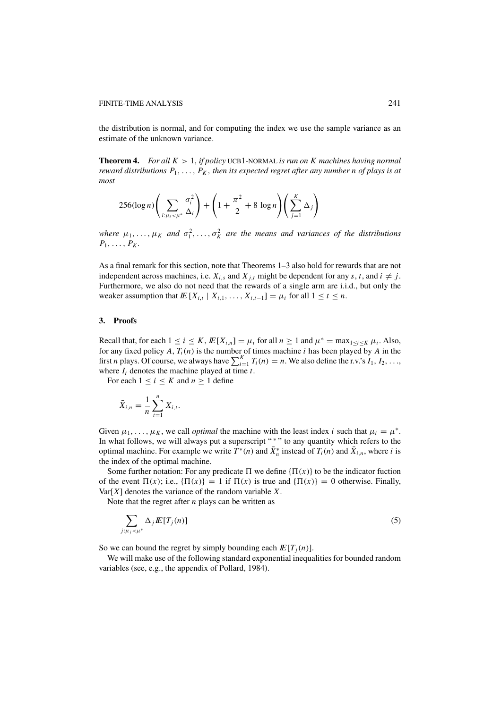the distribution is normal, and for computing the index we use the sample variance as an estimate of the unknown variance.

**Theorem 4.** *For all K* > 1, *if policy* UCB1-NORMAL *is run on K machines having normal reward distributions*  $P_1, \ldots, P_K$ , *then its expected regret after any number n of plays is at most*

$$
256(\log n)\left(\sum_{i:\mu_i<\mu^*}\frac{\sigma_i^2}{\Delta_i}\right) + \left(1+\frac{\pi^2}{2}+8\log n\right)\left(\sum_{j=1}^K\Delta_j\right)
$$

*where*  $\mu_1, \ldots, \mu_K$  and  $\sigma_1^2, \ldots, \sigma_K^2$  are the means and variances of the distributions  $P_1, \ldots, P_K$ .

As a final remark for this section, note that Theorems 1–3 also hold for rewards that are not independent across machines, i.e.  $X_{i,s}$  and  $X_{i,t}$  might be dependent for any *s*, *t*, and  $i \neq j$ . Furthermore, we also do not need that the rewards of a single arm are i.i.d., but only the weaker assumption that  $I\!\!E[X_{i,t} | X_{i,1},..., X_{i,t-1}] = \mu_i$  for all  $1 \le t \le n$ .

#### **3. Proofs**

Recall that, for each  $1 \le i \le K$ ,  $I\!\!E[X_{i,n}] = \mu_i$  for all  $n \ge 1$  and  $\mu^* = \max_{1 \le i \le K} \mu_i$ . Also, for any fixed policy  $A$ ,  $T_i(n)$  is the number of times machine *i* has been played by  $A$  in the first *n* plays. Of course, we always have  $\sum_{i=1}^{K} T_i(n) = n$ . We also define the r.v.'s  $I_1, I_2, \ldots$ , where  $I_t$  denotes the machine played at time  $t$ .

For each  $1 \le i \le K$  and  $n \ge 1$  define

$$
\bar{X}_{i,n} = \frac{1}{n} \sum_{t=1}^{n} X_{i,t}.
$$

Given  $\mu_1, \ldots, \mu_K$ , we call *optimal* the machine with the least index *i* such that  $\mu_i = \mu^*$ . In what follows, we will always put a superscript "\*" to any quantity which refers to the optimal machine. For example we write  $T^*(n)$  and  $\bar{X}_n^*$  instead of  $T_i(n)$  and  $\bar{X}_{i,n}$ , where *i* is the index of the optimal machine.

Some further notation: For any predicate  $\Pi$  we define  ${\Pi(x)}$  to be the indicator fuction of the event  $\Pi(x)$ ; i.e.,  $\{\Pi(x)\} = 1$  if  $\Pi(x)$  is true and  $\{\Pi(x)\} = 0$  otherwise. Finally,  $Var[X]$  denotes the variance of the random variable *X*.

Note that the regret after *n* plays can be written as

$$
\sum_{j:\mu_j < \mu^*} \Delta_j \, E[T_j(n)] \tag{5}
$$

So we can bound the regret by simply bounding each  $E[T_i(n)]$ .

We will make use of the following standard exponential inequalities for bounded random variables (see, e.g., the appendix of Pollard, 1984).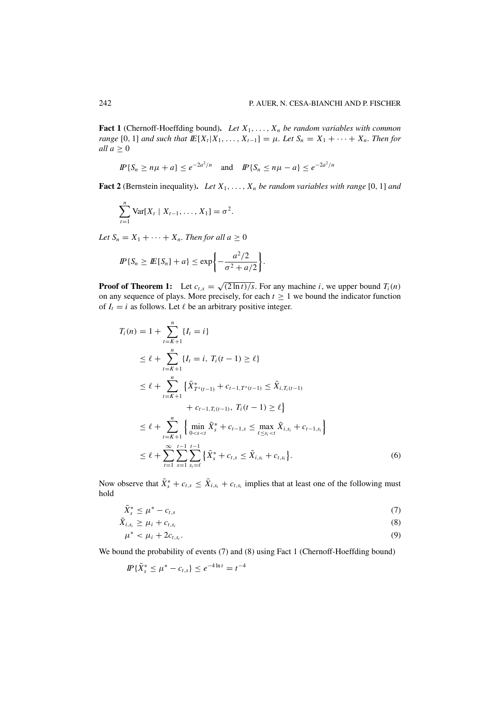**Fact 1** (Chernoff-Hoeffding bound). Let  $X_1, \ldots, X_n$  be random variables with common *range* [0, 1] *and such that*  $I\!\!E[X_t|X_1,\ldots,X_{t-1}] = \mu$ *. Let*  $S_n = X_1 + \cdots + X_n$ *. Then for all*  $a \geq 0$ 

$$
I\!\!P\{S_n \ge n\mu + a\} \le e^{-2a^2/n} \quad \text{and} \quad I\!\!P\{S_n \le n\mu - a\} \le e^{-2a^2/n}
$$

**Fact 2** (Bernstein inequality). Let  $X_1, \ldots, X_n$  be random variables with range [0, 1] and

$$
\sum_{t=1}^{n} \text{Var}[X_t | X_{t-1}, \dots, X_1] = \sigma^2.
$$

*Let*  $S_n = X_1 + \cdots + X_n$ *. Then for all a*  $\geq 0$ 

$$
I\!\!P\{S_n \geq I\!\!E[S_n] + a\} \leq \exp\bigg\{-\frac{a^2/2}{\sigma^2 + a/2}\bigg\}.
$$

**Proof of Theorem 1:** Let  $c_{t,s} = \sqrt{(2 \ln t)/s}$ . For any machine *i*, we upper bound  $T_i(n)$ on any sequence of plays. More precisely, for each  $t \geq 1$  we bound the indicator function of  $I_t = i$  as follows. Let  $\ell$  be an arbitrary positive integer.

$$
T_i(n) = 1 + \sum_{t=K+1}^{n} \{I_t = i\}
$$
  
\n
$$
\leq \ell + \sum_{t=K+1}^{n} \{I_t = i, T_i(t-1) \geq \ell\}
$$
  
\n
$$
\leq \ell + \sum_{t=K+1}^{n} \{\bar{X}_{T^*(t-1)}^* + c_{t-1,T^*(t-1)} \leq \bar{X}_{i,T_i(t-1)} + c_{t-1,T_i(t-1)}, T_i(t-1) \geq \ell\}
$$
  
\n
$$
\leq \ell + \sum_{t=K+1}^{n} \{\min_{0 < s < t} \bar{X}_s^* + c_{t-1,s} \leq \max_{\ell \leq s_i < t} \bar{X}_{i,s_i} + c_{t-1,s_i}\}
$$
  
\n
$$
\leq \ell + \sum_{t=1}^{\infty} \sum_{s=1}^{t-1} \sum_{s_i = \ell}^{t-1} \{\bar{X}_s^* + c_{t,s} \leq \bar{X}_{i,s_i} + c_{t,s_i}\}.
$$
 (6)

Now observe that  $\bar{X}_{s}^{*} + c_{t,s} \leq \bar{X}_{i,s_i} + c_{t,s_i}$  implies that at least one of the following must hold

$$
\bar{X}_s^* \le \mu^* - c_{t,s} \tag{7}
$$

$$
\bar{X}_{i,s_i} \geq \mu_i + c_{t,s_i} \tag{8}
$$

$$
\mu^* < \mu_i + 2c_{t,s_i}.\tag{9}
$$

We bound the probability of events (7) and (8) using Fact 1 (Chernoff-Hoeffding bound)

$$
I\!\!P\{\bar{X}_s^* \leq \mu^* - c_{t,s}\} \leq e^{-4\ln t} = t^{-4}
$$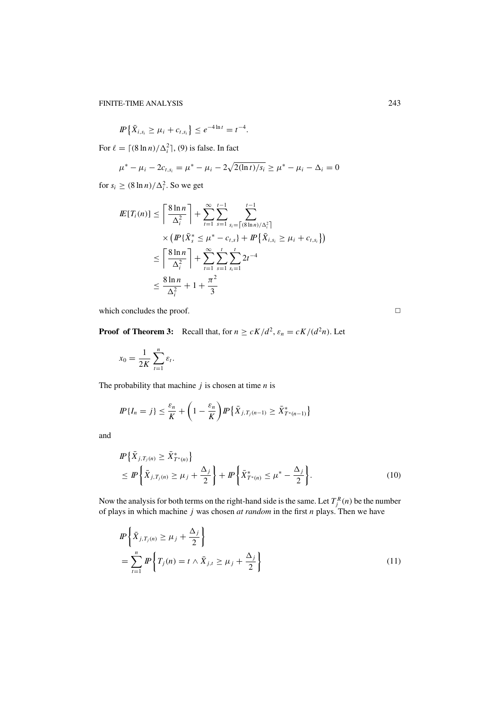$$
I\!\!P\left\{\bar{X}_{i,s_i} \geq \mu_i + c_{t,s_i}\right\} \leq e^{-4\ln t} = t^{-4}.
$$

For  $\ell = \lceil (8 \ln n) / \Delta_i^2 \rceil$ , (9) is false. In fact

$$
\mu^* - \mu_i - 2c_{t,s_i} = \mu^* - \mu_i - 2\sqrt{2(\ln t)/s_i} \ge \mu^* - \mu_i - \Delta_i = 0
$$

for  $s_i \geq (8 \ln n) / \Delta_i^2$ . So we get

$$
I\!\!E[T_i(n)] \leq \left\lceil \frac{8 \ln n}{\Delta_i^2} \right\rceil + \sum_{t=1}^{\infty} \sum_{s=1}^{t-1} \sum_{s_i = \lceil (8 \ln n)/\Delta_i^2 \rceil}^{t-1} \times (I\!\!P\{\bar{X}_s^* \leq \mu^* - c_{t,s}\} + I\!\!P\{\bar{X}_{i,s_i} \geq \mu_i + c_{t,s_i}\})
$$
  

$$
\leq \left\lceil \frac{8 \ln n}{\Delta_i^2} \right\rceil + \sum_{t=1}^{\infty} \sum_{s=1}^t \sum_{s_i = 1}^{t} 2t^{-4}
$$
  

$$
\leq \frac{8 \ln n}{\Delta_i^2} + 1 + \frac{\pi^2}{3}
$$

which concludes the proof.  $\Box$ 

**Proof of Theorem 3:** Recall that, for  $n \ge cK/d^2$ ,  $\varepsilon_n = cK/(d^2n)$ . Let

$$
x_0 = \frac{1}{2K} \sum_{t=1}^n \varepsilon_t.
$$

The probability that machine *j* is chosen at time *n* is

$$
I\!\!P\{I_n=j\} \leq \frac{\varepsilon_n}{K} + \left(1 - \frac{\varepsilon_n}{K}\right)I\!\!P\{\bar{X}_{j,T_j(n-1)} \geq \bar{X}_{T^*(n-1)}^*\}
$$

and

$$
I\!\!P{\bar{X}_{j,T_j(n)} \ge \bar{X}_{T^*(n)}^*\}
$$
  
\n
$$
\leq I\!\!P{\bar{X}_{j,T_j(n)} \geq \mu_j + \frac{\Delta_j}{2}} + I\!\!P{\bar{X}_{T^*(n)}^* \leq \mu^* - \frac{\Delta_j}{2}}.
$$
\n(10)

Now the analysis for both terms on the right-hand side is the same. Let  $T_j^R(n)$  be the number of plays in which machine *j* was chosen *at random* in the first *n* plays. Then we have

$$
I\!\!P\left\{\bar{X}_{j,T_j(n)} \ge \mu_j + \frac{\Delta_j}{2}\right\}
$$
  
= 
$$
\sum_{t=1}^n I\!\!P\left\{T_j(n) = t \wedge \bar{X}_{j,t} \ge \mu_j + \frac{\Delta_j}{2}\right\}
$$
 (11)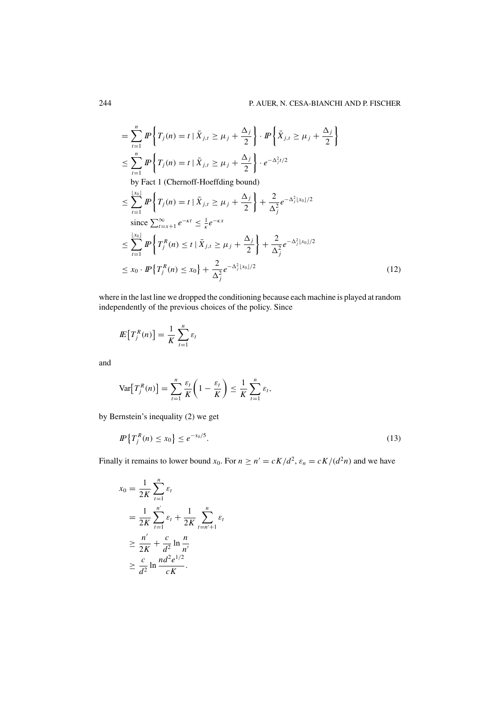$$
\begin{split}\n&= \sum_{t=1}^{n} I\!\!P \left\{ T_{j}(n) = t \mid \bar{X}_{j,t} \ge \mu_{j} + \frac{\Delta_{j}}{2} \right\} \cdot I\!\!P \left\{ \bar{X}_{j,t} \ge \mu_{j} + \frac{\Delta_{j}}{2} \right\} \\
&\le \sum_{t=1}^{n} I\!\!P \left\{ T_{j}(n) = t \mid \bar{X}_{j,t} \ge \mu_{j} + \frac{\Delta_{j}}{2} \right\} \cdot e^{-\Delta_{j}^{2}t/2} \\
&\text{by Fact 1 (Chernoff-Hoeffding bound)} \\
&\le \sum_{t=1}^{\lfloor x_{0} \rfloor} I\!\!P \left\{ T_{j}(n) = t \mid \bar{X}_{j,t} \ge \mu_{j} + \frac{\Delta_{j}}{2} \right\} + \frac{2}{\Delta_{j}^{2}} e^{-\Delta_{j}^{2} \lfloor x_{0} \rfloor/2} \\
&\text{since } \sum_{t=x+1}^{\infty} e^{-\kappa t} \le \frac{1}{\kappa} e^{-\kappa x} \\
&\le \sum_{t=1}^{\lfloor x_{0} \rfloor} I\!\!P \left\{ T_{j}^{R}(n) \le t \mid \bar{X}_{j,t} \ge \mu_{j} + \frac{\Delta_{j}}{2} \right\} + \frac{2}{\Delta_{j}^{2}} e^{-\Delta_{j}^{2} \lfloor x_{0} \rfloor/2} \\
&\le x_{0} \cdot I\!\!P \left\{ T_{j}^{R}(n) \le x_{0} \right\} + \frac{2}{\Delta_{j}^{2}} e^{-\Delta_{j}^{2} \lfloor x_{0} \rfloor/2}\n\end{split} \tag{12}
$$

where in the last line we dropped the conditioning because each machine is played at random independently of the previous choices of the policy. Since

$$
I\!\!E\big[T_j^R(n)\big]=\frac{1}{K}\sum_{t=1}^n \varepsilon_t
$$

and

$$
\text{Var}\big[T_j^R(n)\big]=\sum_{t=1}^n\frac{\varepsilon_t}{K}\bigg(1-\frac{\varepsilon_t}{K}\bigg)\leq\frac{1}{K}\sum_{t=1}^n\varepsilon_t,
$$

by Bernstein's inequality (2) we get

$$
I\!\!P\left\{T_j^R(n) \le x_0\right\} \le e^{-x_0/5}.\tag{13}
$$

Finally it remains to lower bound  $x_0$ . For  $n \ge n' = cK/d^2$ ,  $\varepsilon_n = cK/(d^2n)$  and we have

$$
x_0 = \frac{1}{2K} \sum_{t=1}^n \varepsilon_t
$$
  
= 
$$
\frac{1}{2K} \sum_{t=1}^{n'} \varepsilon_t + \frac{1}{2K} \sum_{t=n'+1}^n \varepsilon_t
$$
  

$$
\geq \frac{n'}{2K} + \frac{c}{d^2} \ln \frac{n}{n'}
$$
  

$$
\geq \frac{c}{d^2} \ln \frac{nd^2 e^{1/2}}{cK}.
$$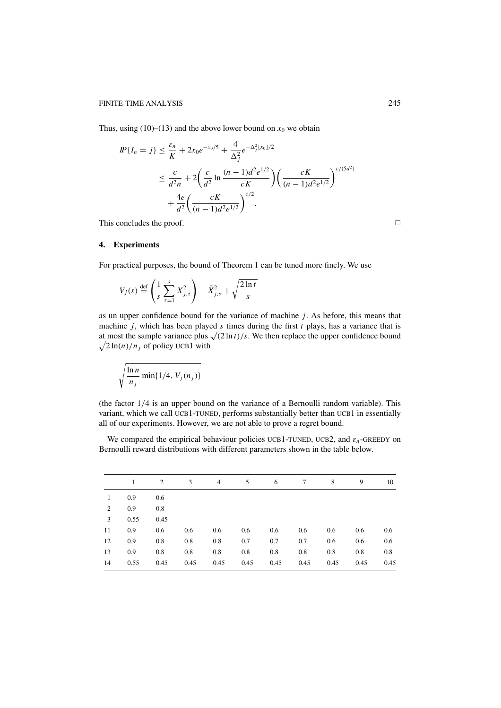Thus, using (10)–(13) and the above lower bound on  $x_0$  we obtain

$$
IP{I_n = j} \leq \frac{\varepsilon_n}{K} + 2x_0 e^{-x_0/5} + \frac{4}{\Delta_j^2} e^{-\Delta_j^2 |x_0|/2}
$$
  

$$
\leq \frac{c}{d^2 n} + 2\left(\frac{c}{d^2} \ln \frac{(n-1)d^2 e^{1/2}}{cK}\right) \left(\frac{cK}{(n-1)d^2 e^{1/2}}\right)^{c/(5d^2)}
$$
  

$$
+ \frac{4e}{d^2} \left(\frac{cK}{(n-1)d^2 e^{1/2}}\right)^{c/2}.
$$

This concludes the proof.  $\Box$ 

# **4. Experiments**

For practical purposes, the bound of Theorem 1 can be tuned more finely. We use

$$
V_j(s) \stackrel{\text{def}}{=} \left(\frac{1}{s} \sum_{\tau=1}^s X_{j,\tau}^2\right) - \bar{X}_{j,s}^2 + \sqrt{\frac{2\ln t}{s}}
$$

as un upper confidence bound for the variance of machine *j*. As before, this means that machine *j*, which has been played *s* times during the first *t* plays, has a variance that is at most the sample variance plus  $\sqrt{(2 \ln t)/s}$ . We then replace the upper confidence bound  $\sqrt{2 \ln(n)/n_j}$  of policy UCB1 with

$$
\sqrt{\frac{\ln n}{n_j} \min\{1/4, V_j(n_j)\}}
$$

(the factor 1/4 is an upper bound on the variance of a Bernoulli random variable). This variant, which we call UCB1-TUNED, performs substantially better than UCB1 in essentially all of our experiments. However, we are not able to prove a regret bound.

We compared the empirical behaviour policies UCB1-TUNED, UCB2, and  $\varepsilon_n$ -GREEDY on Bernoulli reward distributions with different parameters shown in the table below.

|              |      | 2    | 3    | $\overline{4}$ | 5    | 6    | 7    | 8    | 9    | 10   |
|--------------|------|------|------|----------------|------|------|------|------|------|------|
| $\mathbf{1}$ | 0.9  | 0.6  |      |                |      |      |      |      |      |      |
| 2            | 0.9  | 0.8  |      |                |      |      |      |      |      |      |
| 3            | 0.55 | 0.45 |      |                |      |      |      |      |      |      |
| 11           | 0.9  | 0.6  | 0.6  | 0.6            | 0.6  | 0.6  | 0.6  | 0.6  | 0.6  | 0.6  |
| 12           | 0.9  | 0.8  | 0.8  | 0.8            | 0.7  | 0.7  | 0.7  | 0.6  | 0.6  | 0.6  |
| 13           | 0.9  | 0.8  | 0.8  | 0.8            | 0.8  | 0.8  | 0.8  | 0.8  | 0.8  | 0.8  |
| 14           | 0.55 | 0.45 | 0.45 | 0.45           | 0.45 | 0.45 | 0.45 | 0.45 | 0.45 | 0.45 |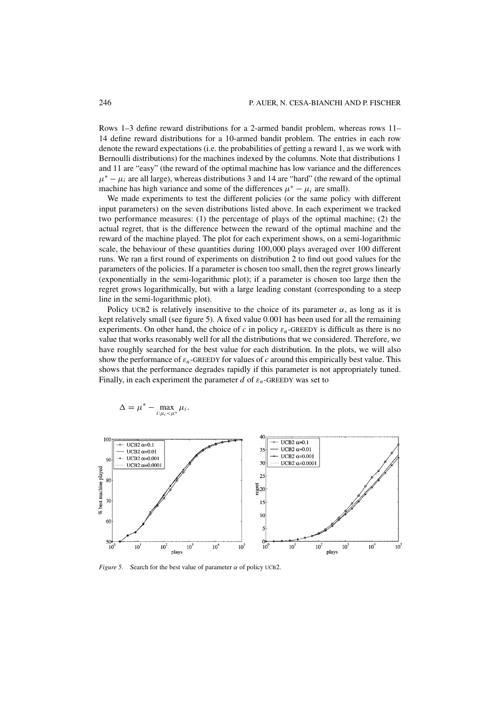Rows 1–3 define reward distributions for a 2-armed bandit problem, whereas rows 11– 14 define reward distributions for a 10-armed bandit problem. The entries in each row denote the reward expectations (i.e. the probabilities of getting a reward 1, as we work with Bernoulli distributions) for the machines indexed by the columns. Note that distributions 1 and 11 are "easy" (the reward of the optimal machine has low variance and the differences  $\mu^* - \mu_i$  are all large), whereas distributions 3 and 14 are "hard" (the reward of the optimal machine has high variance and some of the differences  $\mu^* - \mu_i$  are small).

We made experiments to test the different policies (or the same policy with different input parameters) on the seven distributions listed above. In each experiment we tracked two performance measures: (1) the percentage of plays of the optimal machine; (2) the actual regret, that is the difference between the reward of the optimal machine and the reward of the machine played. The plot for each experiment shows, on a semi-logarithmic scale, the behaviour of these quantities during 100,000 plays averaged over 100 different runs. We ran a first round of experiments on distribution 2 to find out good values for the parameters of the policies. If a parameter is chosen too small, then the regret grows linearly (exponentially in the semi-logarithmic plot); if a parameter is chosen too large then the regret grows logarithmically, but with a large leading constant (corresponding to a steep line in the semi-logarithmic plot).

Policy UCB2 is relatively insensitive to the choice of its parameter  $\alpha$ , as long as it is kept relatively small (see figure 5). A fixed value 0.001 has been used for all the remaining experiments. On other hand, the choice of *c* in policy  $\varepsilon_n$ -GREEDY is difficult as there is no value that works reasonably well for all the distributions that we considered. Therefore, we have roughly searched for the best value for each distribution. In the plots, we will also show the performance of ε*n*-GREEDY for values of *c* around this empirically best value. This shows that the performance degrades rapidly if this parameter is not appropriately tuned. Finally, in each experiment the parameter  $d$  of  $\varepsilon_n$ -GREEDY was set to

$$
\Delta = \mu^* - \max_{i:\mu_i < \mu^*} \mu_i.
$$



*Figure 5.* Search for the best value of parameter  $\alpha$  of policy UCB2.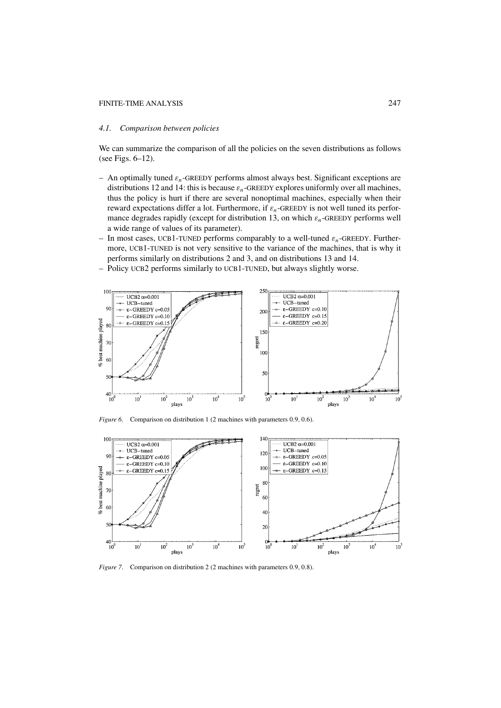#### FINITE-TIME ANALYSIS 247

## *4.1. Comparison between policies*

We can summarize the comparison of all the policies on the seven distributions as follows (see Figs. 6–12).

- An optimally tuned ε*n*-GREEDY performs almost always best. Significant exceptions are distributions 12 and 14: this is because  $\varepsilon_n$ -GREEDY explores uniformly over all machines, thus the policy is hurt if there are several nonoptimal machines, especially when their reward expectations differ a lot. Furthermore, if  $\varepsilon_n$ -GREEDY is not well tuned its performance degrades rapidly (except for distribution 13, on which  $\varepsilon_n$ -GREEDY performs well a wide range of values of its parameter).
- $-$  In most cases, UCB1-TUNED performs comparably to a well-tuned  $\varepsilon_n$ -GREEDY. Furthermore, UCB1-TUNED is not very sensitive to the variance of the machines, that is why it performs similarly on distributions 2 and 3, and on distributions 13 and 14.
- Policy UCB2 performs similarly to UCB1-TUNED, but always slightly worse.



*Figure 6.* Comparison on distribution 1 (2 machines with parameters 0.9, 0.6).



*Figure 7*. Comparison on distribution 2 (2 machines with parameters 0.9, 0.8).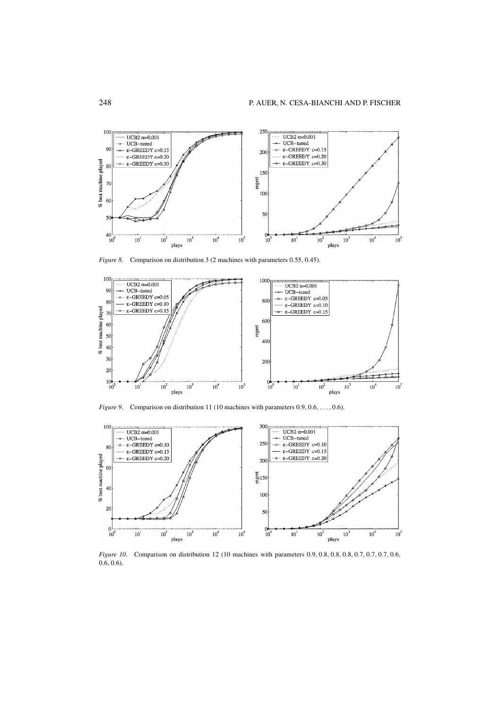

*Figure 8*. Comparison on distribution 3 (2 machines with parameters 0.55, 0.45).



*Figure 9.* Comparison on distribution 11 (10 machines with parameters 0.9, 0.6, ..., 0.6).



*Figure 10.* Comparison on distribution 12 (10 machines with parameters 0.9, 0.8, 0.8, 0.8, 0.7, 0.7, 0.7, 0.6, 0.6, 0.6).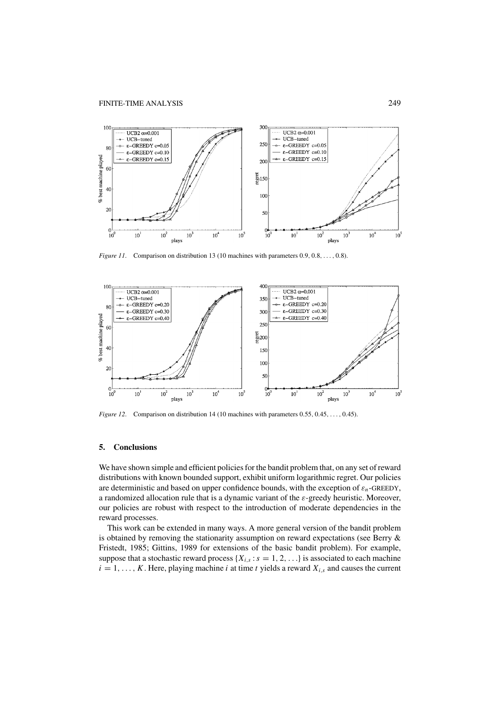

*Figure 11.* Comparison on distribution 13 (10 machines with parameters 0.9, 0.8, ..., 0.8).



*Figure 12.* Comparison on distribution 14 (10 machines with parameters 0.55, 0.45, ..., 0.45).

# **5. Conclusions**

We have shown simple and efficient policies for the bandit problem that, on any set of reward distributions with known bounded support, exhibit uniform logarithmic regret. Our policies are deterministic and based on upper confidence bounds, with the exception of  $\varepsilon_n$ -GREEDY, a randomized allocation rule that is a dynamic variant of the ε-greedy heuristic. Moreover, our policies are robust with respect to the introduction of moderate dependencies in the reward processes.

This work can be extended in many ways. A more general version of the bandit problem is obtained by removing the stationarity assumption on reward expectations (see Berry & Fristedt, 1985; Gittins, 1989 for extensions of the basic bandit problem). For example, suppose that a stochastic reward process  $\{X_{i,s} : s = 1, 2, \ldots\}$  is associated to each machine  $i = 1, \ldots, K$ . Here, playing machine *i* at time *t* yields a reward  $X_{i,s}$  and causes the current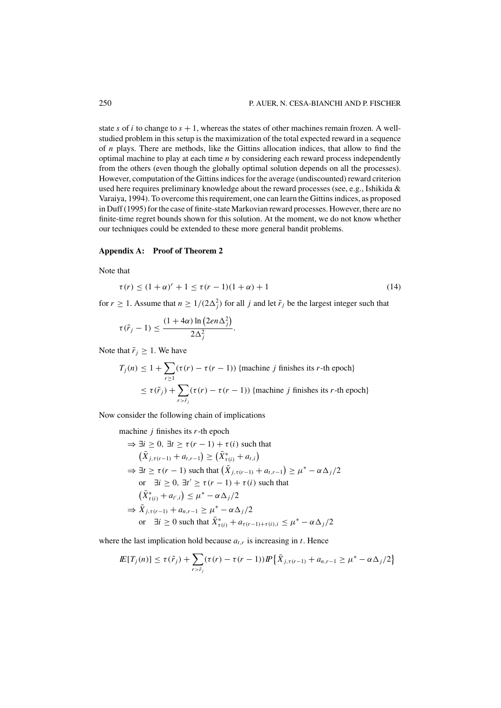state *s* of *i* to change to  $s + 1$ , whereas the states of other machines remain frozen. A wellstudied problem in this setup is the maximization of the total expected reward in a sequence of *n* plays. There are methods, like the Gittins allocation indices, that allow to find the optimal machine to play at each time *n* by considering each reward process independently from the others (even though the globally optimal solution depends on all the processes). However, computation of the Gittins indices for the average (undiscounted) reward criterion used here requires preliminary knowledge about the reward processes (see, e.g., Ishikida & Varaiya, 1994). To overcome this requirement, one can learn the Gittins indices, as proposed in Duff (1995) for the case of finite-state Markovian reward processes. However, there are no finite-time regret bounds shown for this solution. At the moment, we do not know whether our techniques could be extended to these more general bandit problems.

#### **Appendix A: Proof of Theorem 2**

Note that

$$
\tau(r) \le (1+\alpha)^r + 1 \le \tau(r-1)(1+\alpha) + 1 \tag{14}
$$

for  $r \ge 1$ . Assume that  $n \ge 1/(2\Delta_j^2)$  for all *j* and let  $\tilde{r}_j$  be the largest integer such that

$$
\tau(\tilde{r}_j-1) \leq \frac{(1+4\alpha)\ln\left(2en\Delta_j^2\right)}{2\Delta_j^2}.
$$

Note that  $\tilde{r}_i \geq 1$ . We have

$$
T_j(n) \le 1 + \sum_{r \ge 1} (\tau(r) - \tau(r - 1))
$$
 {machine *j* finishes its *r*-th epoch}  

$$
\le \tau(\tilde{r}_j) + \sum_{r > \tilde{r}_j} (\tau(r) - \tau(r - 1))
$$
 {machine *j* finishes its *r*-th epoch}

Now consider the following chain of implications

machine *j* finishes its *r*-th epoch  
\n⇒ 
$$
\exists i \ge 0
$$
,  $\exists t \ge \tau(r - 1) + \tau(i)$  such that  
\n $(\bar{X}_{j,\tau(r-1)} + a_{t,r-1}) \ge (\bar{X}_{\tau(i)}^* + a_{t,i})$   
\n⇒  $\exists t \ge \tau(r - 1)$  such that  $(\bar{X}_{j,\tau(r-1)} + a_{t,r-1}) \ge \mu^* - \alpha \Delta_j/2$   
\nor  $\exists i \ge 0$ ,  $\exists t' \ge \tau(r - 1) + \tau(i)$  such that  
\n $(\bar{X}_{\tau(i)}^* + a_{t',i}) \le \mu^* - \alpha \Delta_j/2$   
\n⇒  $\bar{X}_{j,\tau(r-1)} + a_{n,r-1} \ge \mu^* - \alpha \Delta_j/2$   
\nor  $\exists i \ge 0$  such that  $\bar{X}_{\tau(i)}^* + a_{\tau(r-1)+\tau(i),i} \le \mu^* - \alpha \Delta_j/2$ 

where the last implication hold because  $a_{t,r}$  is increasing in  $t$ . Hence

$$
I\!\!E[T_j(n)] \leq \tau(\tilde{r}_j) + \sum_{r > \tilde{r}_j} (\tau(r) - \tau(r-1)) I\!\!P \left\{ \bar{X}_{j, \tau(r-1)} + a_{n, r-1} \geq \mu^* - \alpha \Delta_j / 2 \right\}
$$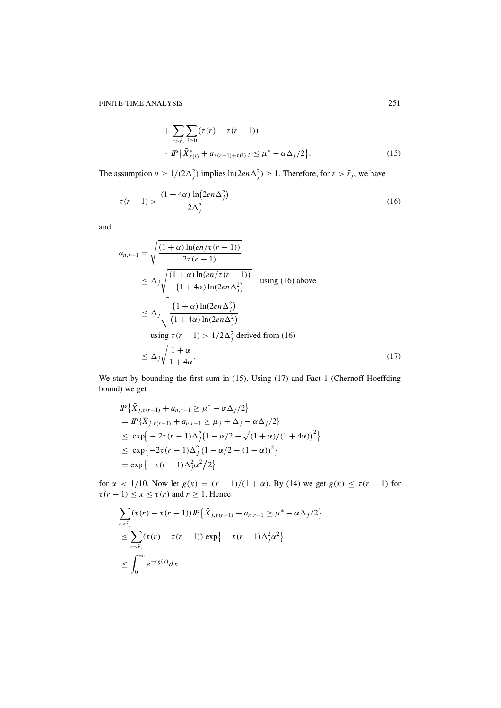+ 
$$
\sum_{r > \tilde{r}_j} \sum_{i \ge 0} (\tau(r) - \tau(r - 1))
$$
  
+ 
$$
I\!\!P \big\{ \bar{X}_{\tau(i)}^* + a_{\tau(r-1) + \tau(i), i} \le \mu^* - \alpha \Delta_j / 2 \big\}.
$$
 (15)

The assumption  $n \ge 1/(2\Delta_j^2)$  implies  $\ln(2en\Delta_j^2) \ge 1$ . Therefore, for  $r > \tilde{r}_j$ , we have

$$
\tau(r-1) > \frac{(1+4\alpha)\ln(2en\Delta_j^2)}{2\Delta_j^2}
$$
\n(16)

and

$$
a_{n,r-1} = \sqrt{\frac{(1+\alpha)\ln(en/\tau(r-1))}{2\tau(r-1)}}
$$
  
\n
$$
\leq \Delta_j \sqrt{\frac{(1+\alpha)\ln(en/\tau(r-1))}{(1+4\alpha)\ln(2en\Delta_j^2)}}
$$
 using (16) above  
\n
$$
\leq \Delta_j \sqrt{\frac{(1+\alpha)\ln(2en\Delta_j^2)}{(1+4\alpha)\ln(2en\Delta_j^2)}}
$$
  
\nusing  $\tau(r-1) > 1/2\Delta_j^2$  derived from (16)  
\n
$$
\leq \Delta_j \sqrt{\frac{1+\alpha}{1+4\alpha}}.
$$
 (17)

We start by bounding the first sum in (15). Using (17) and Fact 1 (Chernoff-Hoeffding bound) we get

$$
I\!\!P \left\{ \bar{X}_{j,\tau(r-1)} + a_{n,r-1} \ge \mu^* - \alpha \Delta_j/2 \right\}
$$
  
=  $I\!\!P \left\{ \bar{X}_{j,\tau(r-1)} + a_{n,r-1} \ge \mu_j + \Delta_j - \alpha \Delta_j/2 \right\}$   
 $\le \exp \left\{ -2\tau (r-1) \Delta_j^2 \left( 1 - \alpha/2 - \sqrt{(1+\alpha)/(1+4\alpha)} \right)^2 \right\}$   
 $\le \exp \left\{ -2\tau (r-1) \Delta_j^2 (1-\alpha/2 - (1-\alpha))^2 \right\}$   
=  $\exp \left\{ -\tau (r-1) \Delta_j^2 \alpha^2 / 2 \right\}$ 

for  $\alpha$  < 1/10. Now let  $g(x) = (x - 1)/(1 + \alpha)$ . By (14) we get  $g(x) \le \tau (r - 1)$  for  $\tau(r-1) \leq x \leq \tau(r)$  and  $r \geq 1$ . Hence

$$
\sum_{r > \tilde{r}_j} (\tau(r) - \tau(r-1)) \cdot P\left\{ \bar{X}_{j, \tau(r-1)} + a_{n, r-1} \ge \mu^* - \alpha \Delta_j / 2 \right\}
$$
\n
$$
\le \sum_{r > \tilde{r}_j} (\tau(r) - \tau(r-1)) \exp\left\{ -\tau(r-1) \Delta_j^2 \alpha^2 \right\}
$$
\n
$$
\le \int_0^\infty e^{-cg(x)} dx
$$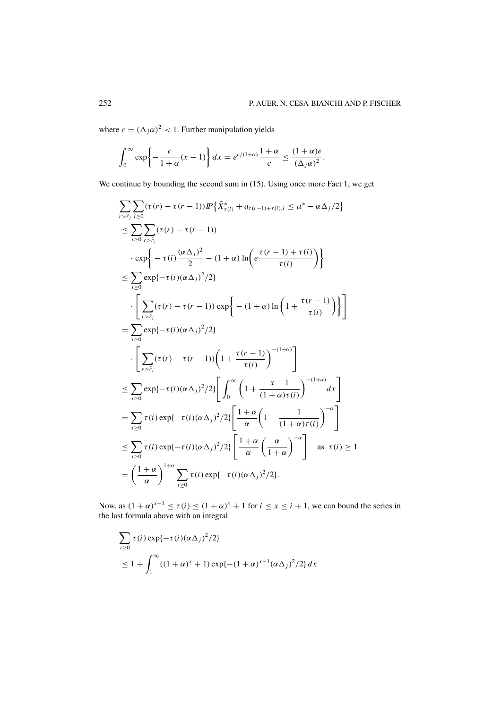where  $c = (\Delta_j \alpha)^2 < 1$ . Further manipulation yields

$$
\int_0^\infty \exp\left\{-\frac{c}{1+\alpha}(x-1)\right\} dx = e^{c/(1+\alpha)}\frac{1+\alpha}{c} \le \frac{(1+\alpha)e}{(\Delta_j\alpha)^2}.
$$

We continue by bounding the second sum in (15). Using once more Fact 1, we get

$$
\sum_{r > \tilde{r}_j} \sum_{i \geq 0} (\tau(r) - \tau(r - 1)) P\left\{ \bar{X}_{\tau(i)}^* + a_{\tau(r-1) + \tau(i), i} \leq \mu^* - \alpha \Delta_j/2 \right\}
$$
\n
$$
\leq \sum_{i \geq 0} \sum_{r > \tilde{r}_j} (\tau(r) - \tau(r - 1))
$$
\n
$$
\cdot \exp \left\{ - \tau(i) \frac{(\alpha \Delta_j)^2}{2} - (1 + \alpha) \ln \left( e \frac{\tau(r - 1) + \tau(i)}{\tau(i)} \right) \right\}
$$
\n
$$
\leq \sum_{i \geq 0} \exp\{-\tau(i) (\alpha \Delta_j)^2/2 \}
$$
\n
$$
\cdot \left[ \sum_{r > \tilde{r}_j} (\tau(r) - \tau(r - 1)) \exp \left\{ - (1 + \alpha) \ln \left( 1 + \frac{\tau(r - 1)}{\tau(i)} \right) \right\} \right]
$$
\n
$$
= \sum_{i \geq 0} \exp\{-\tau(i) (\alpha \Delta_j)^2/2 \}
$$
\n
$$
\cdot \left[ \sum_{r > \tilde{r}_j} (\tau(r) - \tau(r - 1)) \left( 1 + \frac{\tau(r - 1)}{\tau(i)} \right)^{-(1 + \alpha)} \right]
$$
\n
$$
\leq \sum_{i \geq 0} \exp\{-\tau(i) (\alpha \Delta_j)^2/2 \} \left[ \int_0^\infty \left( 1 + \frac{x - 1}{(1 + \alpha) \tau(i)} \right)^{-(1 + \alpha)} dx \right]
$$
\n
$$
= \sum_{i \geq 0} \tau(i) \exp\{-\tau(i) (\alpha \Delta_j)^2/2 \} \left[ \frac{1 + \alpha}{\alpha} \left( 1 - \frac{1}{(1 + \alpha) \tau(i)} \right)^{-\alpha} \right]
$$
\n
$$
\leq \sum_{i \geq 0} \tau(i) \exp\{-\tau(i) (\alpha \Delta_j)^2/2 \} \left[ \frac{1 + \alpha}{\alpha} \left( \frac{\alpha}{1 + \alpha} \right)^{-\alpha} \right] \text{ as } \tau(i) \geq 1
$$
\n
$$
= \left( \frac{1 + \alpha}{\alpha} \right)^{1 + \alpha} \sum_{i \geq 0} \tau(i) \exp\{-\tau
$$

Now, as  $(1 + \alpha)^{x-1} \le \tau(i) \le (1 + \alpha)^x + 1$  for  $i \le x \le i + 1$ , we can bound the series in the last formula above with an integral

$$
\sum_{i\geq 0} \tau(i) \exp\{-\tau(i)(\alpha \Delta_j)^2/2\}
$$
  
\n
$$
\leq 1 + \int_1^\infty ((1+\alpha)^x + 1) \exp\{-(1+\alpha)^{x-1}(\alpha \Delta_j)^2/2\} dx
$$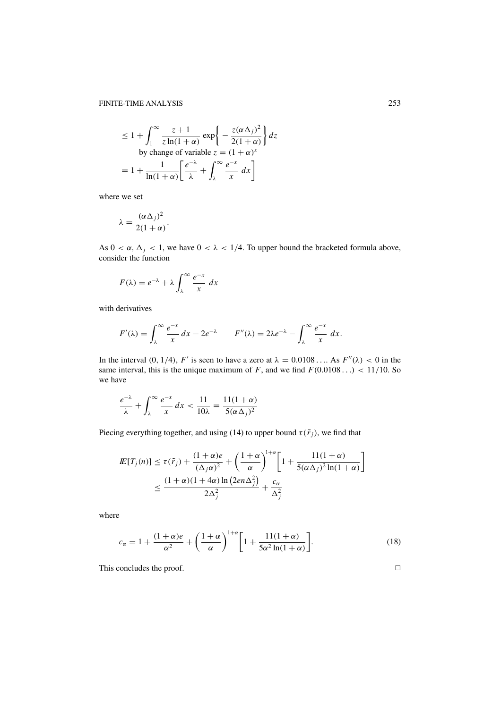$$
\leq 1 + \int_1^{\infty} \frac{z+1}{z \ln(1+\alpha)} \exp\left\{-\frac{z(\alpha \Delta_j)^2}{2(1+\alpha)}\right\} dz
$$
  
by change of variable  $z = (1+\alpha)^x$   

$$
= 1 + \frac{1}{\ln(1+\alpha)} \left[\frac{e^{-\lambda}}{\lambda} + \int_{\lambda}^{\infty} \frac{e^{-x}}{x} dx\right]
$$

where we set

$$
\lambda = \frac{(\alpha \Delta_j)^2}{2(1+\alpha)}.
$$

As  $0 < \alpha$ ,  $\Delta_j < 1$ , we have  $0 < \lambda < 1/4$ . To upper bound the bracketed formula above, consider the function

$$
F(\lambda) = e^{-\lambda} + \lambda \int_{\lambda}^{\infty} \frac{e^{-x}}{x} dx
$$

with derivatives

$$
F'(\lambda) = \int_{\lambda}^{\infty} \frac{e^{-x}}{x} dx - 2e^{-\lambda} \qquad F''(\lambda) = 2\lambda e^{-\lambda} - \int_{\lambda}^{\infty} \frac{e^{-x}}{x} dx.
$$

In the interval (0, 1/4), *F'* is seen to have a zero at  $\lambda = 0.0108...$  As  $F''(\lambda) < 0$  in the same interval, this is the unique maximum of *F*, and we find  $F(0.0108...)$  < 11/10. So we have

$$
\frac{e^{-\lambda}}{\lambda} + \int_{\lambda}^{\infty} \frac{e^{-x}}{x} dx < \frac{11}{10\lambda} = \frac{11(1+\alpha)}{5(\alpha \Delta_j)^2}
$$

Piecing everything together, and using (14) to upper bound  $\tau(\tilde{r}_j)$ , we find that

$$
I\!\!E[T_j(n)] \le \tau(\tilde{r}_j) + \frac{(1+\alpha)e}{(\Delta_j \alpha)^2} + \left(\frac{1+\alpha}{\alpha}\right)^{1+\alpha} \left[1 + \frac{11(1+\alpha)}{5(\alpha \Delta_j)^2 \ln(1+\alpha)}\right]
$$
  

$$
\le \frac{(1+\alpha)(1+4\alpha) \ln(2e n \Delta_j^2)}{2\Delta_j^2} + \frac{c_\alpha}{\Delta_j^2}
$$

where

$$
c_{\alpha} = 1 + \frac{(1+\alpha)e}{\alpha^2} + \left(\frac{1+\alpha}{\alpha}\right)^{1+\alpha} \left[1 + \frac{11(1+\alpha)}{5\alpha^2 \ln(1+\alpha)}\right].
$$
 (18)

This concludes the proof.  $\Box$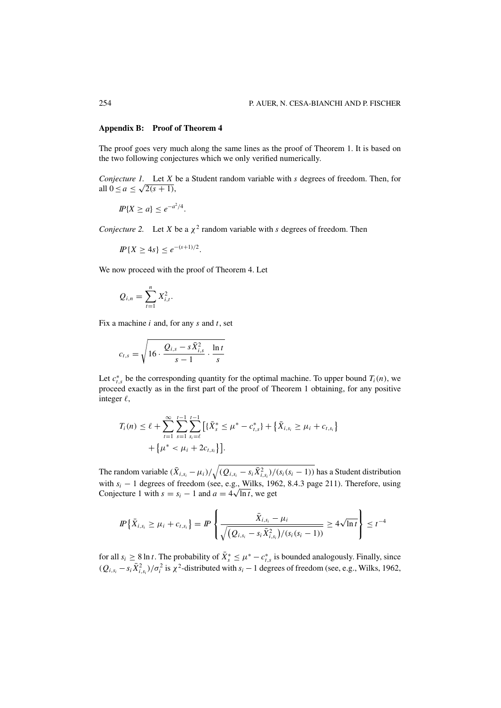# **Appendix B: Proof of Theorem 4**

The proof goes very much along the same lines as the proof of Theorem 1. It is based on the two following conjectures which we only verified numerically.

*Conjecture 1.* Let *X* be a Student random variable with *s* degrees of freedom. Then, for all  $0 \le a \le \sqrt{2(s+1)}$ ,

$$
I\!\!P\{X \ge a\} \le e^{-a^2/4}.
$$

*Conjecture 2.* Let *X* be a  $\chi^2$  random variable with *s* degrees of freedom. Then

$$
I\!\!P\{X \ge 4s\} \le e^{-(s+1)/2}.
$$

We now proceed with the proof of Theorem 4. Let

$$
Q_{i,n} = \sum_{t=1}^{n} X_{i,t}^{2}.
$$

Fix a machine *i* and, for any *s* and *t*, set

$$
c_{t,s} = \sqrt{16 \cdot \frac{Q_{i,s} - s\bar{X}_{i,s}^2}{s-1} \cdot \frac{\ln t}{s}}
$$

Let  $c_{t,s}^*$  be the corresponding quantity for the optimal machine. To upper bound  $T_i(n)$ , we proceed exactly as in the first part of the proof of Theorem 1 obtaining, for any positive integer  $\ell$ ,

$$
T_i(n) \leq \ell + \sum_{t=1}^{\infty} \sum_{s=1}^{t-1} \sum_{s_i=\ell}^{t-1} \left[ \{\bar{X}_s^* \leq \mu^* - c_{t,s}^* \} + \{\bar{X}_{i,s_i} \geq \mu_i + c_{t,s_i} \} + \{\mu^* < \mu_i + 2c_{t,s_i} \} \right].
$$

The random variable  $(\bar{X}_{i,s_i} - \mu_i)/\sqrt{(Q_{i,s_i} - s_i \bar{X}_{i,s_i}^2)/(s_i(s_i-1))}$  has a Student distribution with  $s_i - 1$  degrees of freedom (see, e.g., Wilks, 1962, 8.4.3 page 211). Therefore, using with  $s_i - 1$  degrees of freedom (see, e.g., Wilks, 196<br>Conjecture 1 with  $s = s_i - 1$  and  $a = 4\sqrt{\ln t}$ , we get

$$
I\!\!P\left\{\bar{X}_{i,s_i} \geq \mu_i + c_{t,s_i}\right\} = I\!\!P\left\{\frac{\bar{X}_{i,s_i} - \mu_i}{\sqrt{(Q_{i,s_i} - s_i\bar{X}_{i,s_i}^2)/(s_i(s_i-1))}} \geq 4\sqrt{\ln t}\right\} \leq t^{-4}
$$

for all  $s_i \geq 8 \ln t$ . The probability of  $\bar{X}_s^* \leq \mu^* - c_{t,s}^*$  is bounded analogously. Finally, since  $(Q_{i,s_i} - s_i \overline{X}_{i,s_i}^2)/\sigma_i^2$  is  $\chi^2$ -distributed with  $s_i - 1$  degrees of freedom (see, e.g., Wilks, 1962,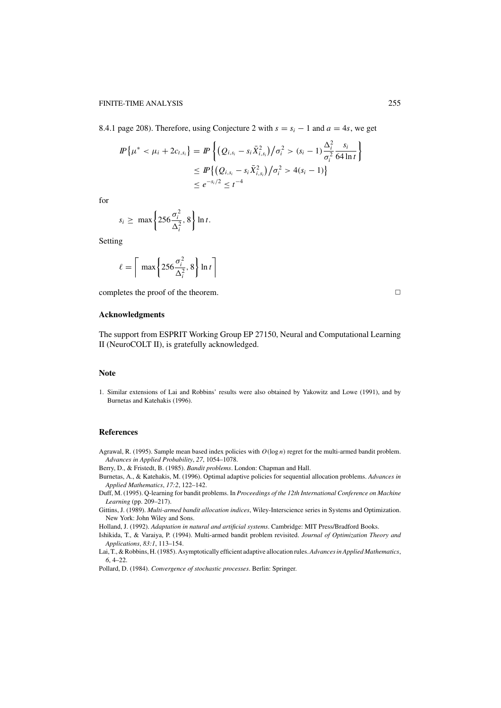8.4.1 page 208). Therefore, using Conjecture 2 with  $s = s_i - 1$  and  $a = 4s$ , we get

$$
I\!\!P\{\mu^* < \mu_i + 2c_{t,s_i}\} = I\!\!P\left\{ \left( Q_{i,s_i} - s_i \bar{X}_{i,s_i}^2 \right) / \sigma_i^2 > (s_i - 1) \frac{\Delta_i^2}{\sigma_i^2} \frac{s_i}{64 \ln t} \right\}
$$
\n
$$
\leq I\!\!P\left\{ \left( Q_{i,s_i} - s_i \bar{X}_{i,s_i}^2 \right) / \sigma_i^2 > 4(s_i - 1) \right\}
$$
\n
$$
\leq e^{-s_i/2} \leq t^{-4}
$$

for

$$
s_i \geq \max\left\{256\frac{\sigma_i^2}{\Delta_i^2}, 8\right\} \ln t.
$$

Setting

$$
\ell = \left\lceil \max \left\{ 256 \frac{\sigma_i^2}{\Delta_i^2}, 8 \right\} \ln t \right\rceil
$$

completes the proof of the theorem.  $\Box$ 

# **Acknowledgments**

The support from ESPRIT Working Group EP 27150, Neural and Computational Learning II (NeuroCOLT II), is gratefully acknowledged.

## **Note**

1. Similar extensions of Lai and Robbins' results were also obtained by Yakowitz and Lowe (1991), and by Burnetas and Katehakis (1996).

#### **References**

Agrawal, R. (1995). Sample mean based index policies with *O*(log *n*) regret for the multi-armed bandit problem. *Advances in Applied Probability*, *27*, 1054–1078.

Berry, D., & Fristedt, B. (1985). *Bandit problems*. London: Chapman and Hall.

- Burnetas, A., & Katehakis, M. (1996). Optimal adaptive policies for sequential allocation problems. *Advances in Applied Mathematics*, *17:2*, 122–142.
- Duff, M. (1995). Q-learning for bandit problems. In *Proceedings of the 12th International Conference on Machine Learning* (pp. 209–217).
- Gittins, J. (1989). *Multi-armed bandit allocation indices*, Wiley-Interscience series in Systems and Optimization. New York: John Wiley and Sons.

Holland, J. (1992). *Adaptation in natural and artificial systems*. Cambridge: MIT Press/Bradford Books.

Ishikida, T., & Varaiya, P. (1994). Multi-armed bandit problem revisited. *Journal of Optimization Theory and Applications*, *83:1*, 113–154.

Lai, T., & Robbins, H. (1985). Asymptotically efficient adaptive allocation rules.*Advances in Applied Mathematics*, *6*, 4–22.

Pollard, D. (1984). *Convergence of stochastic processes*. Berlin: Springer.